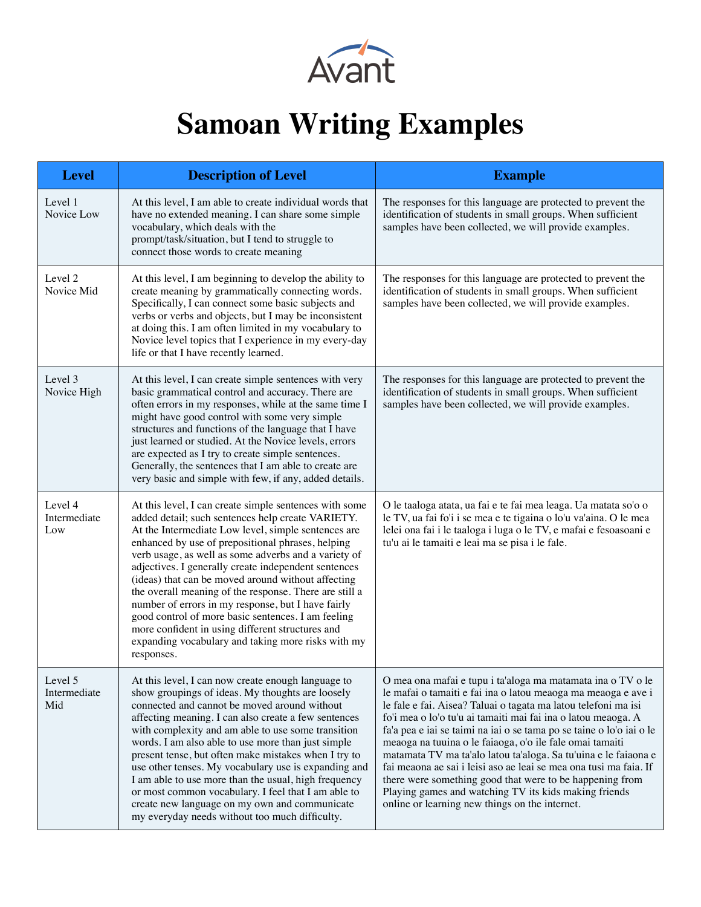

## **Samoan Writing Examples**

| <b>Level</b>                   | <b>Description of Level</b>                                                                                                                                                                                                                                                                                                                                                                                                                                                                                                                                                                                                                                                                 | <b>Example</b>                                                                                                                                                                                                                                                                                                                                                                                                                                                                                                                                                                                                                                                                                                     |
|--------------------------------|---------------------------------------------------------------------------------------------------------------------------------------------------------------------------------------------------------------------------------------------------------------------------------------------------------------------------------------------------------------------------------------------------------------------------------------------------------------------------------------------------------------------------------------------------------------------------------------------------------------------------------------------------------------------------------------------|--------------------------------------------------------------------------------------------------------------------------------------------------------------------------------------------------------------------------------------------------------------------------------------------------------------------------------------------------------------------------------------------------------------------------------------------------------------------------------------------------------------------------------------------------------------------------------------------------------------------------------------------------------------------------------------------------------------------|
| Level 1<br>Novice Low          | At this level, I am able to create individual words that<br>have no extended meaning. I can share some simple<br>vocabulary, which deals with the<br>prompt/task/situation, but I tend to struggle to<br>connect those words to create meaning                                                                                                                                                                                                                                                                                                                                                                                                                                              | The responses for this language are protected to prevent the<br>identification of students in small groups. When sufficient<br>samples have been collected, we will provide examples.                                                                                                                                                                                                                                                                                                                                                                                                                                                                                                                              |
| Level 2<br>Novice Mid          | At this level, I am beginning to develop the ability to<br>create meaning by grammatically connecting words.<br>Specifically, I can connect some basic subjects and<br>verbs or verbs and objects, but I may be inconsistent<br>at doing this. I am often limited in my vocabulary to<br>Novice level topics that I experience in my every-day<br>life or that I have recently learned.                                                                                                                                                                                                                                                                                                     | The responses for this language are protected to prevent the<br>identification of students in small groups. When sufficient<br>samples have been collected, we will provide examples.                                                                                                                                                                                                                                                                                                                                                                                                                                                                                                                              |
| Level 3<br>Novice High         | At this level, I can create simple sentences with very<br>basic grammatical control and accuracy. There are<br>often errors in my responses, while at the same time I<br>might have good control with some very simple<br>structures and functions of the language that I have<br>just learned or studied. At the Novice levels, errors<br>are expected as I try to create simple sentences.<br>Generally, the sentences that I am able to create are<br>very basic and simple with few, if any, added details.                                                                                                                                                                             | The responses for this language are protected to prevent the<br>identification of students in small groups. When sufficient<br>samples have been collected, we will provide examples.                                                                                                                                                                                                                                                                                                                                                                                                                                                                                                                              |
| Level 4<br>Intermediate<br>Low | At this level, I can create simple sentences with some<br>added detail; such sentences help create VARIETY.<br>At the Intermediate Low level, simple sentences are<br>enhanced by use of prepositional phrases, helping<br>verb usage, as well as some adverbs and a variety of<br>adjectives. I generally create independent sentences<br>(ideas) that can be moved around without affecting<br>the overall meaning of the response. There are still a<br>number of errors in my response, but I have fairly<br>good control of more basic sentences. I am feeling<br>more confident in using different structures and<br>expanding vocabulary and taking more risks with my<br>responses. | O le taaloga atata, ua fai e te fai mea leaga. Ua matata so'o o<br>le TV, ua fai fo'i i se mea e te tigaina o lo'u va'aina. O le mea<br>lelei ona fai i le taaloga i luga o le TV, e mafai e fesoasoani e<br>tu'u ai le tamaiti e leai ma se pisa i le fale.                                                                                                                                                                                                                                                                                                                                                                                                                                                       |
| Level 5<br>Intermediate<br>Mid | At this level, I can now create enough language to<br>show groupings of ideas. My thoughts are loosely<br>connected and cannot be moved around without<br>affecting meaning. I can also create a few sentences<br>with complexity and am able to use some transition<br>words. I am also able to use more than just simple<br>present tense, but often make mistakes when I try to<br>use other tenses. My vocabulary use is expanding and<br>I am able to use more than the usual, high frequency<br>or most common vocabulary. I feel that I am able to<br>create new language on my own and communicate<br>my everyday needs without too much difficulty.                                | O mea ona mafai e tupu i ta'aloga ma matamata ina o TV o le<br>le mafai o tamaiti e fai ina o latou meaoga ma meaoga e ave i<br>le fale e fai. Aisea? Taluai o tagata ma latou telefoni ma isi<br>fo'i mea o lo'o tu'u ai tamaiti mai fai ina o latou meaoga. A<br>fa'a pea e iai se taimi na iai o se tama po se taine o lo'o iai o le<br>meaoga na tuuina o le faiaoga, o'o ile fale omai tamaiti<br>matamata TV ma ta'alo latou ta'aloga. Sa tu'uina e le faiaona e<br>fai meaona ae sai i leisi aso ae leai se mea ona tusi ma faia. If<br>there were something good that were to be happening from<br>Playing games and watching TV its kids making friends<br>online or learning new things on the internet. |